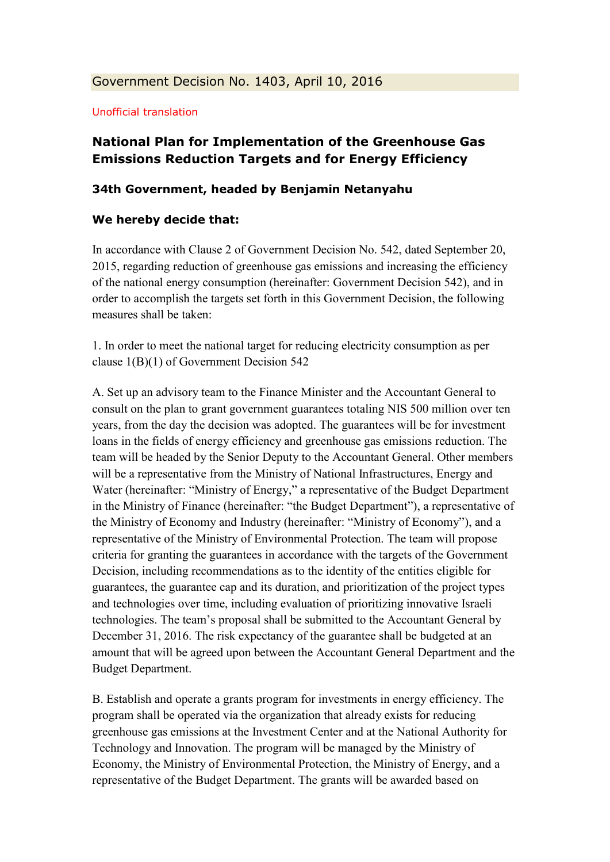## Unofficial translation

## **National Plan for Implementation of the Greenhouse Gas Emissions Reduction Targets and for Energy Efficiency**

## **34th Government, headed by Benjamin Netanyahu**

## **We hereby decide that:**

In accordance with Clause 2 of Government Decision No. 542, dated September 20, 2015, regarding reduction of greenhouse gas emissions and increasing the efficiency of the national energy consumption (hereinafter: Government Decision 542), and in order to accomplish the targets set forth in this Government Decision, the following measures shall be taken:

1. In order to meet the national target for reducing electricity consumption as per clause 1(B)(1) of Government Decision 542

A. Set up an advisory team to the Finance Minister and the Accountant General to consult on the plan to grant government guarantees totaling NIS 500 million over ten years, from the day the decision was adopted. The guarantees will be for investment loans in the fields of energy efficiency and greenhouse gas emissions reduction. The team will be headed by the Senior Deputy to the Accountant General. Other members will be a representative from the Ministry of National Infrastructures, Energy and Water (hereinafter: "Ministry of Energy," a representative of the Budget Department in the Ministry of Finance (hereinafter: "the Budget Department"), a representative of the Ministry of Economy and Industry (hereinafter: "Ministry of Economy"), and a representative of the Ministry of Environmental Protection. The team will propose criteria for granting the guarantees in accordance with the targets of the Government Decision, including recommendations as to the identity of the entities eligible for guarantees, the guarantee cap and its duration, and prioritization of the project types and technologies over time, including evaluation of prioritizing innovative Israeli technologies. The team's proposal shall be submitted to the Accountant General by December 31, 2016. The risk expectancy of the guarantee shall be budgeted at an amount that will be agreed upon between the Accountant General Department and the Budget Department.

B. Establish and operate a grants program for investments in energy efficiency. The program shall be operated via the organization that already exists for reducing greenhouse gas emissions at the Investment Center and at the National Authority for Technology and Innovation. The program will be managed by the Ministry of Economy, the Ministry of Environmental Protection, the Ministry of Energy, and a representative of the Budget Department. The grants will be awarded based on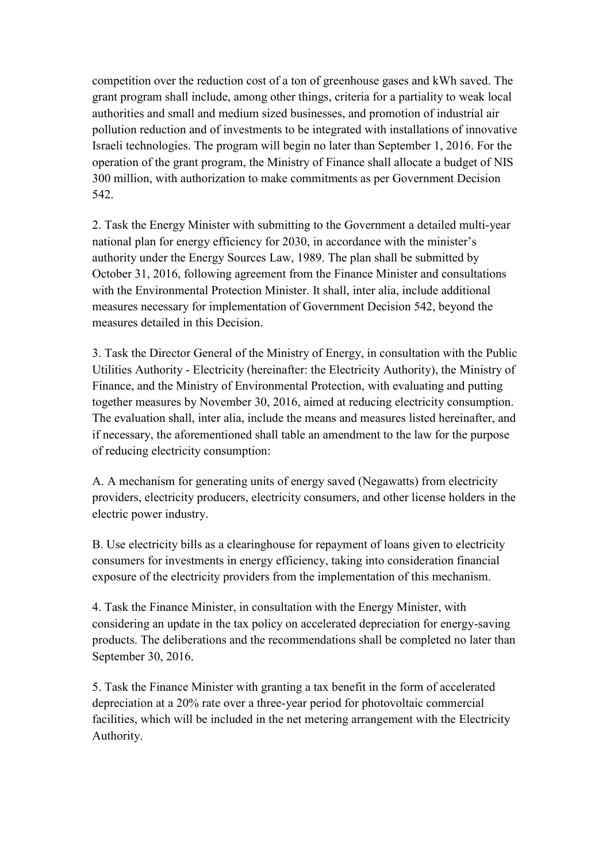competition over the reduction cost of a ton of greenhouse gases and kWh saved. The grant program shall include, among other things, criteria for a partiality to weak local authorities and small and medium sized businesses, and promotion of industrial air pollution reduction and of investments to be integrated with installations of innovative Israeli technologies. The program will begin no later than September 1, 2016. For the operation of the grant program, the Ministry of Finance shall allocate a budget of NIS 300 million, with authorization to make commitments as per Government Decision 542.

2. Task the Energy Minister with submitting to the Government a detailed multi-year national plan for energy efficiency for 2030, in accordance with the minister's authority under the Energy Sources Law, 1989. The plan shall be submitted by October 31, 2016, following agreement from the Finance Minister and consultations with the Environmental Protection Minister. It shall, inter alia, include additional measures necessary for implementation of Government Decision 542, beyond the measures detailed in this Decision.

3. Task the Director General of the Ministry of Energy, in consultation with the Public Utilities Authority - Electricity (hereinafter: the Electricity Authority), the Ministry of Finance, and the Ministry of Environmental Protection, with evaluating and putting together measures by November 30, 2016, aimed at reducing electricity consumption. The evaluation shall, inter alia, include the means and measures listed hereinafter, and if necessary, the aforementioned shall table an amendment to the law for the purpose of reducing electricity consumption:

A. A mechanism for generating units of energy saved (Negawatts) from electricity providers, electricity producers, electricity consumers, and other license holders in the electric power industry.

B. Use electricity bills as a clearinghouse for repayment of loans given to electricity consumers for investments in energy efficiency, taking into consideration financial exposure of the electricity providers from the implementation of this mechanism.

4. Task the Finance Minister, in consultation with the Energy Minister, with considering an update in the tax policy on accelerated depreciation for energy-saving products. The deliberations and the recommendations shall be completed no later than September 30, 2016.

5. Task the Finance Minister with granting a tax benefit in the form of accelerated depreciation at a 20% rate over a three-year period for photovoltaic commercial facilities, which will be included in the net metering arrangement with the Electricity Authority.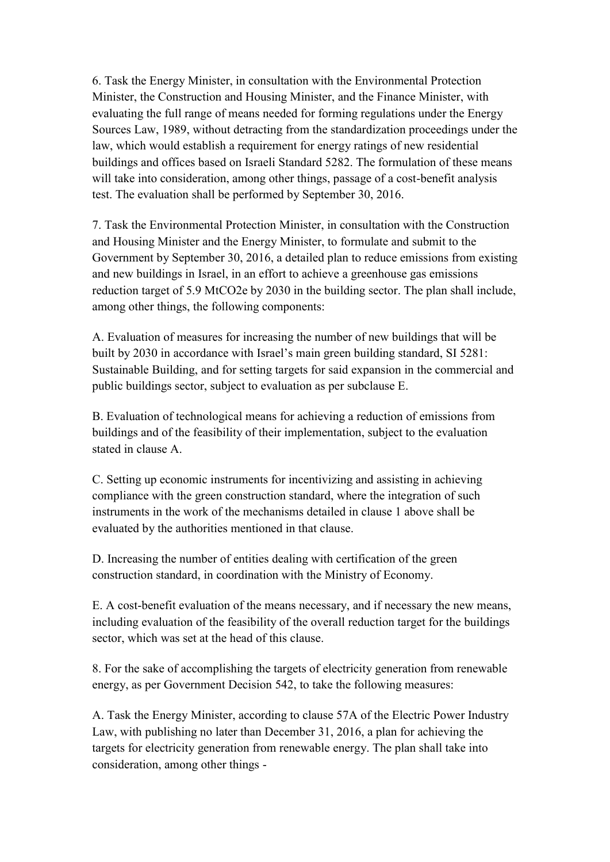6. Task the Energy Minister, in consultation with the Environmental Protection Minister, the Construction and Housing Minister, and the Finance Minister, with evaluating the full range of means needed for forming regulations under the Energy Sources Law, 1989, without detracting from the standardization proceedings under the law, which would establish a requirement for energy ratings of new residential buildings and offices based on Israeli Standard 5282. The formulation of these means will take into consideration, among other things, passage of a cost-benefit analysis test. The evaluation shall be performed by September 30, 2016.

7. Task the Environmental Protection Minister, in consultation with the Construction and Housing Minister and the Energy Minister, to formulate and submit to the Government by September 30, 2016, a detailed plan to reduce emissions from existing and new buildings in Israel, in an effort to achieve a greenhouse gas emissions reduction target of 5.9 MtCO2e by 2030 in the building sector. The plan shall include, among other things, the following components:

A. Evaluation of measures for increasing the number of new buildings that will be built by 2030 in accordance with Israel's main green building standard, SI 5281: Sustainable Building, and for setting targets for said expansion in the commercial and public buildings sector, subject to evaluation as per subclause E.

B. Evaluation of technological means for achieving a reduction of emissions from buildings and of the feasibility of their implementation, subject to the evaluation stated in clause A.

C. Setting up economic instruments for incentivizing and assisting in achieving compliance with the green construction standard, where the integration of such instruments in the work of the mechanisms detailed in clause 1 above shall be evaluated by the authorities mentioned in that clause.

D. Increasing the number of entities dealing with certification of the green construction standard, in coordination with the Ministry of Economy.

E. A cost-benefit evaluation of the means necessary, and if necessary the new means, including evaluation of the feasibility of the overall reduction target for the buildings sector, which was set at the head of this clause.

8. For the sake of accomplishing the targets of electricity generation from renewable energy, as per Government Decision 542, to take the following measures:

A. Task the Energy Minister, according to clause 57A of the Electric Power Industry Law, with publishing no later than December 31, 2016, a plan for achieving the targets for electricity generation from renewable energy. The plan shall take into consideration, among other things -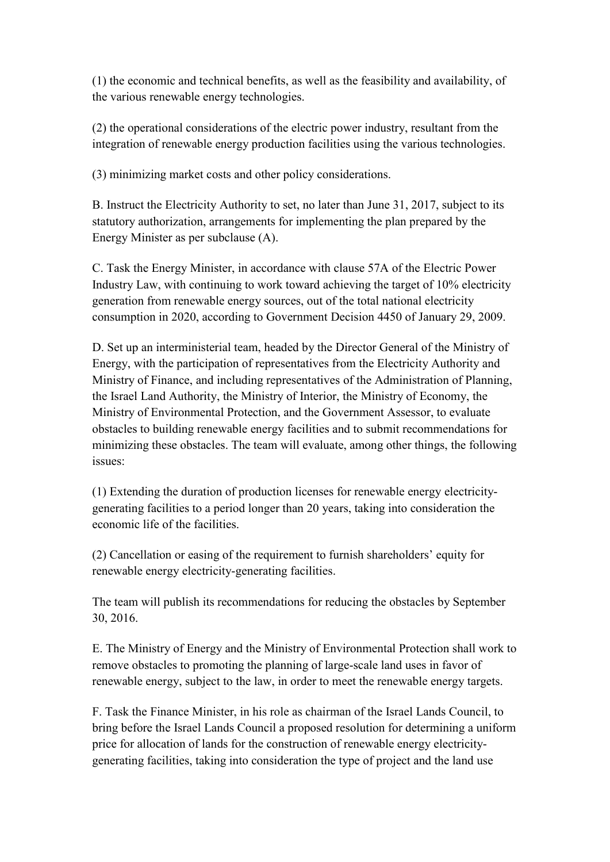(1) the economic and technical benefits, as well as the feasibility and availability, of the various renewable energy technologies.

(2) the operational considerations of the electric power industry, resultant from the integration of renewable energy production facilities using the various technologies.

(3) minimizing market costs and other policy considerations.

B. Instruct the Electricity Authority to set, no later than June 31, 2017, subject to its statutory authorization, arrangements for implementing the plan prepared by the Energy Minister as per subclause (A).

C. Task the Energy Minister, in accordance with clause 57A of the Electric Power Industry Law, with continuing to work toward achieving the target of 10% electricity generation from renewable energy sources, out of the total national electricity consumption in 2020, according to Government Decision 4450 of January 29, 2009.

D. Set up an interministerial team, headed by the Director General of the Ministry of Energy, with the participation of representatives from the Electricity Authority and Ministry of Finance, and including representatives of the Administration of Planning, the Israel Land Authority, the Ministry of Interior, the Ministry of Economy, the Ministry of Environmental Protection, and the Government Assessor, to evaluate obstacles to building renewable energy facilities and to submit recommendations for minimizing these obstacles. The team will evaluate, among other things, the following issues:

(1) Extending the duration of production licenses for renewable energy electricitygenerating facilities to a period longer than 20 years, taking into consideration the economic life of the facilities.

(2) Cancellation or easing of the requirement to furnish shareholders' equity for renewable energy electricity-generating facilities.

The team will publish its recommendations for reducing the obstacles by September 30, 2016.

E. The Ministry of Energy and the Ministry of Environmental Protection shall work to remove obstacles to promoting the planning of large-scale land uses in favor of renewable energy, subject to the law, in order to meet the renewable energy targets.

F. Task the Finance Minister, in his role as chairman of the Israel Lands Council, to bring before the Israel Lands Council a proposed resolution for determining a uniform price for allocation of lands for the construction of renewable energy electricitygenerating facilities, taking into consideration the type of project and the land use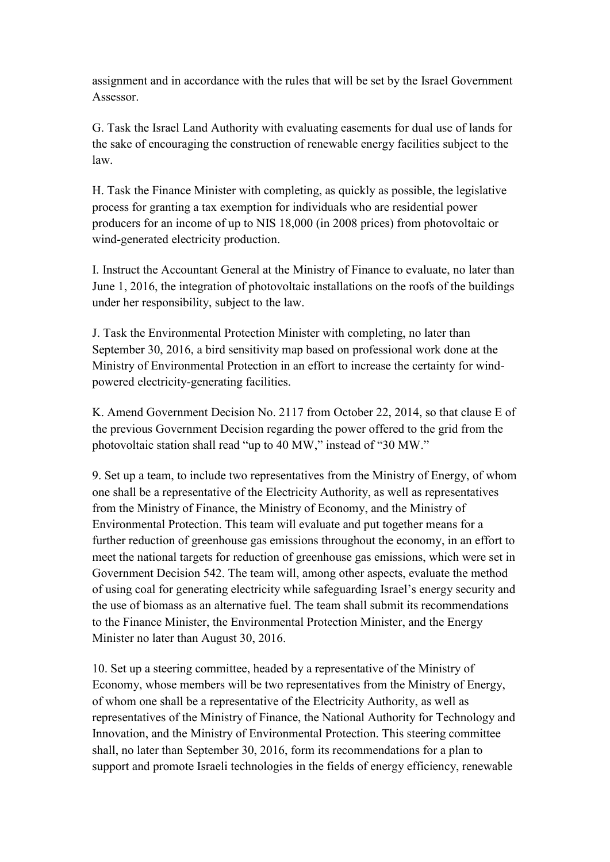assignment and in accordance with the rules that will be set by the Israel Government Assessor.

G. Task the Israel Land Authority with evaluating easements for dual use of lands for the sake of encouraging the construction of renewable energy facilities subject to the law.

H. Task the Finance Minister with completing, as quickly as possible, the legislative process for granting a tax exemption for individuals who are residential power producers for an income of up to NIS 18,000 (in 2008 prices) from photovoltaic or wind-generated electricity production.

I. Instruct the Accountant General at the Ministry of Finance to evaluate, no later than June 1, 2016, the integration of photovoltaic installations on the roofs of the buildings under her responsibility, subject to the law.

J. Task the Environmental Protection Minister with completing, no later than September 30, 2016, a bird sensitivity map based on professional work done at the Ministry of Environmental Protection in an effort to increase the certainty for windpowered electricity-generating facilities.

K. Amend Government Decision No. 2117 from October 22, 2014, so that clause E of the previous Government Decision regarding the power offered to the grid from the photovoltaic station shall read "up to 40 MW," instead of "30 MW."

9. Set up a team, to include two representatives from the Ministry of Energy, of whom one shall be a representative of the Electricity Authority, as well as representatives from the Ministry of Finance, the Ministry of Economy, and the Ministry of Environmental Protection. This team will evaluate and put together means for a further reduction of greenhouse gas emissions throughout the economy, in an effort to meet the national targets for reduction of greenhouse gas emissions, which were set in Government Decision 542. The team will, among other aspects, evaluate the method of using coal for generating electricity while safeguarding Israel's energy security and the use of biomass as an alternative fuel. The team shall submit its recommendations to the Finance Minister, the Environmental Protection Minister, and the Energy Minister no later than August 30, 2016.

10. Set up a steering committee, headed by a representative of the Ministry of Economy, whose members will be two representatives from the Ministry of Energy, of whom one shall be a representative of the Electricity Authority, as well as representatives of the Ministry of Finance, the National Authority for Technology and Innovation, and the Ministry of Environmental Protection. This steering committee shall, no later than September 30, 2016, form its recommendations for a plan to support and promote Israeli technologies in the fields of energy efficiency, renewable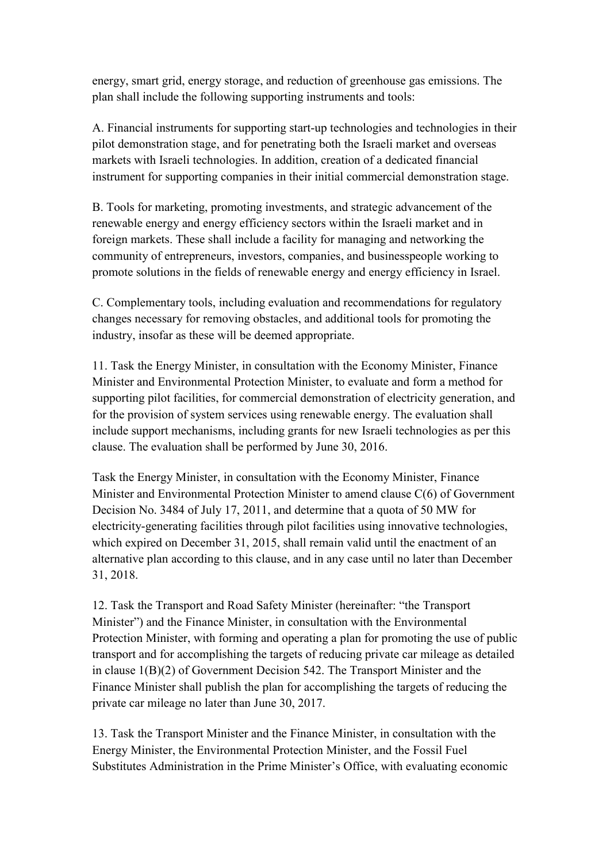energy, smart grid, energy storage, and reduction of greenhouse gas emissions. The plan shall include the following supporting instruments and tools:

A. Financial instruments for supporting start-up technologies and technologies in their pilot demonstration stage, and for penetrating both the Israeli market and overseas markets with Israeli technologies. In addition, creation of a dedicated financial instrument for supporting companies in their initial commercial demonstration stage.

B. Tools for marketing, promoting investments, and strategic advancement of the renewable energy and energy efficiency sectors within the Israeli market and in foreign markets. These shall include a facility for managing and networking the community of entrepreneurs, investors, companies, and businesspeople working to promote solutions in the fields of renewable energy and energy efficiency in Israel.

C. Complementary tools, including evaluation and recommendations for regulatory changes necessary for removing obstacles, and additional tools for promoting the industry, insofar as these will be deemed appropriate.

11. Task the Energy Minister, in consultation with the Economy Minister, Finance Minister and Environmental Protection Minister, to evaluate and form a method for supporting pilot facilities, for commercial demonstration of electricity generation, and for the provision of system services using renewable energy. The evaluation shall include support mechanisms, including grants for new Israeli technologies as per this clause. The evaluation shall be performed by June 30, 2016.

Task the Energy Minister, in consultation with the Economy Minister, Finance Minister and Environmental Protection Minister to amend clause C(6) of Government Decision No. 3484 of July 17, 2011, and determine that a quota of 50 MW for electricity-generating facilities through pilot facilities using innovative technologies, which expired on December 31, 2015, shall remain valid until the enactment of an alternative plan according to this clause, and in any case until no later than December 31, 2018.

12. Task the Transport and Road Safety Minister (hereinafter: "the Transport Minister") and the Finance Minister, in consultation with the Environmental Protection Minister, with forming and operating a plan for promoting the use of public transport and for accomplishing the targets of reducing private car mileage as detailed in clause 1(B)(2) of Government Decision 542. The Transport Minister and the Finance Minister shall publish the plan for accomplishing the targets of reducing the private car mileage no later than June 30, 2017.

13. Task the Transport Minister and the Finance Minister, in consultation with the Energy Minister, the Environmental Protection Minister, and the Fossil Fuel Substitutes Administration in the Prime Minister's Office, with evaluating economic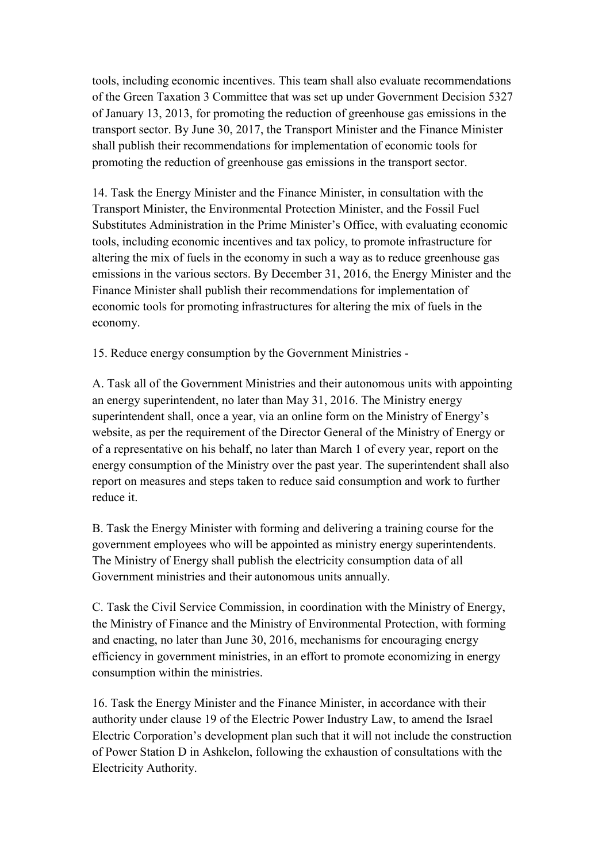tools, including economic incentives. This team shall also evaluate recommendations of the Green Taxation 3 Committee that was set up under Government Decision 5327 of January 13, 2013, for promoting the reduction of greenhouse gas emissions in the transport sector. By June 30, 2017, the Transport Minister and the Finance Minister shall publish their recommendations for implementation of economic tools for promoting the reduction of greenhouse gas emissions in the transport sector.

14. Task the Energy Minister and the Finance Minister, in consultation with the Transport Minister, the Environmental Protection Minister, and the Fossil Fuel Substitutes Administration in the Prime Minister's Office, with evaluating economic tools, including economic incentives and tax policy, to promote infrastructure for altering the mix of fuels in the economy in such a way as to reduce greenhouse gas emissions in the various sectors. By December 31, 2016, the Energy Minister and the Finance Minister shall publish their recommendations for implementation of economic tools for promoting infrastructures for altering the mix of fuels in the economy.

15. Reduce energy consumption by the Government Ministries -

A. Task all of the Government Ministries and their autonomous units with appointing an energy superintendent, no later than May 31, 2016. The Ministry energy superintendent shall, once a year, via an online form on the Ministry of Energy's website, as per the requirement of the Director General of the Ministry of Energy or of a representative on his behalf, no later than March 1 of every year, report on the energy consumption of the Ministry over the past year. The superintendent shall also report on measures and steps taken to reduce said consumption and work to further reduce it.

B. Task the Energy Minister with forming and delivering a training course for the government employees who will be appointed as ministry energy superintendents. The Ministry of Energy shall publish the electricity consumption data of all Government ministries and their autonomous units annually.

C. Task the Civil Service Commission, in coordination with the Ministry of Energy, the Ministry of Finance and the Ministry of Environmental Protection, with forming and enacting, no later than June 30, 2016, mechanisms for encouraging energy efficiency in government ministries, in an effort to promote economizing in energy consumption within the ministries.

16. Task the Energy Minister and the Finance Minister, in accordance with their authority under clause 19 of the Electric Power Industry Law, to amend the Israel Electric Corporation's development plan such that it will not include the construction of Power Station D in Ashkelon, following the exhaustion of consultations with the Electricity Authority.